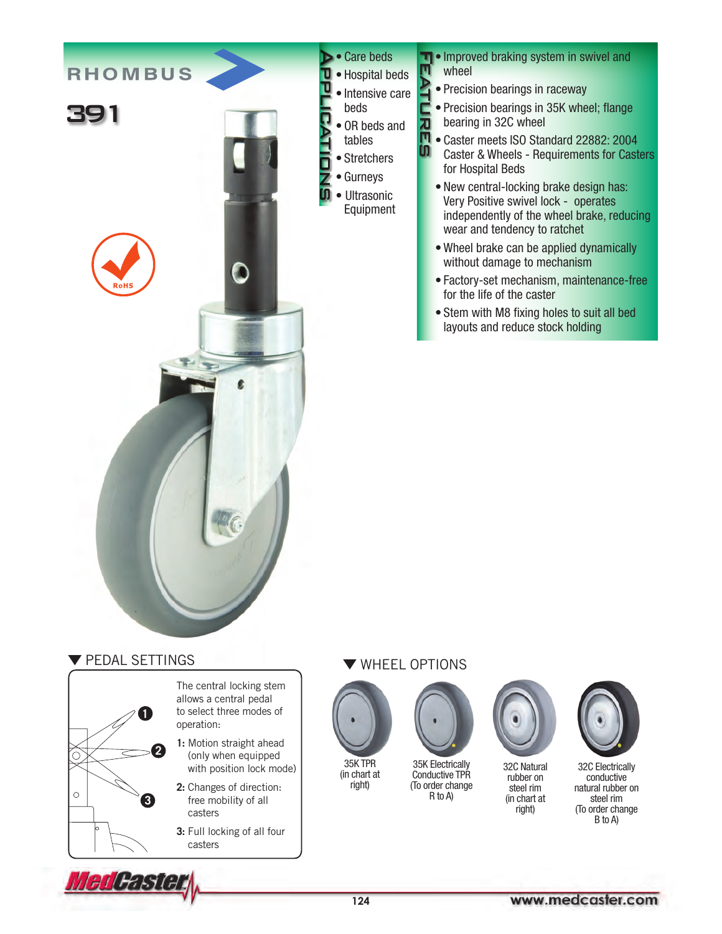

**T** • Improved braking system in swivel and **FEATURES** ņ wheel **ATL** 

- Precision bearings in raceway
- Precision bearings in 35K wheel; flange bearing in 32C wheel
- Π • Caster meets ISO Standard 22882: 2004 **CO** Caster & Wheels - Requirements for Casters for Hospital Beds
	- New central-locking brake design has: Very Positive swivel lock - operates independently of the wheel brake, reducing wear and tendency to ratchet
	- Wheel brake can be applied dynamically without damage to mechanism
	- Factory-set mechanism, maintenance-free for the life of the caster
	- Stem with M8 fixing holes to suit all bed layouts and reduce stock holding

## **V PEDAL SETTINGS**



The central locking stem allows a central pedal to select three modes of operation:

- **1:** Motion straight ahead (only when equipped with position lock mode)
- **2:** Changes of direction: free mobility of all casters
- **3:** Full locking of all four casters

## WHEEL OPTIONS



• Hospital beds • Intensive care beds

• OR beds and tables • Stretchers • Gurneys • Ultrasonic Equipment

 $\overline{\overline{a}}$ 

35K TPR (in chart at right)



Conductive TPR (To order change R to A)



32C Natural rubber on steel rim (in chart at right)



32C Electrically conductive natural rubber on steel rim (To order change B to A)